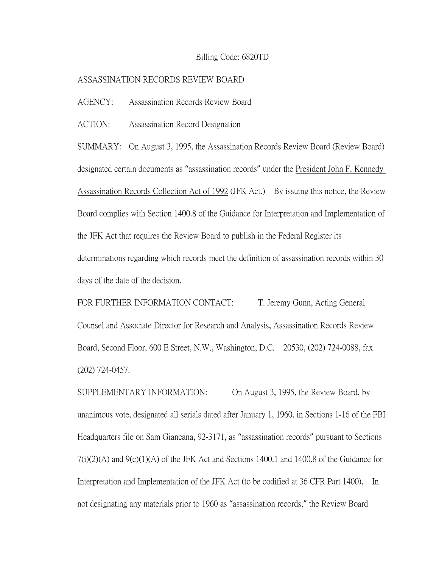## Billing Code: 6820TD

## ASSASSINATION RECORDS REVIEW BOARD

AGENCY: Assassination Records Review Board

ACTION: Assassination Record Designation

SUMMARY: On August 3, 1995, the Assassination Records Review Board (Review Board) designated certain documents as "assassination records" under the President John F. Kennedy Assassination Records Collection Act of 1992 (JFK Act.) By issuing this notice, the Review Board complies with Section 1400.8 of the Guidance for Interpretation and Implementation of the JFK Act that requires the Review Board to publish in the Federal Register its determinations regarding which records meet the definition of assassination records within 30 days of the date of the decision.

FOR FURTHER INFORMATION CONTACT: T. Jeremy Gunn, Acting General Counsel and Associate Director for Research and Analysis, Assassination Records Review Board, Second Floor, 600 E Street, N.W., Washington, D.C. 20530, (202) 724-0088, fax (202) 724-0457.

SUPPLEMENTARY INFORMATION: On August 3, 1995, the Review Board, by unanimous vote, designated all serials dated after January 1, 1960, in Sections 1-16 of the FBI Headquarters file on Sam Giancana, 92-3171, as "assassination records" pursuant to Sections 7(i)(2)(A) and 9(c)(1)(A) of the JFK Act and Sections 1400.1 and 1400.8 of the Guidance for Interpretation and Implementation of the JFK Act (to be codified at 36 CFR Part 1400). In not designating any materials prior to 1960 as "assassination records," the Review Board